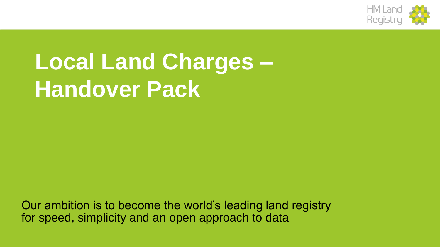

# **Local Land Charges – Handover Pack**

Our ambition is to become the world's leading land registry for speed, simplicity and an open approach to data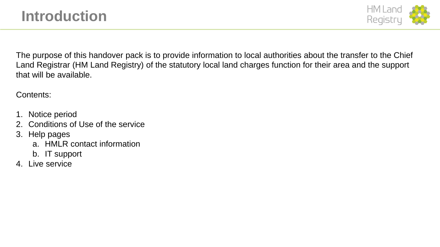

The purpose of this handover pack is to provide information to local authorities about the transfer to the Chief Land Registrar (HM Land Registry) of the statutory local land charges function for their area and the support that will be available.

Contents:

- 1. Notice period
- 2. Conditions of Use of the service
- 3. Help pages
	- a. HMLR contact information
	- b. IT support
- 4. Live service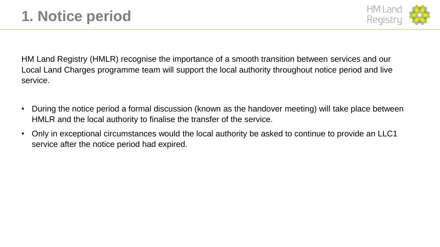

HM Land Registry (HMLR) recognise the importance of a smooth transition between services and our Local Land Charges programme team will support the local authority throughout notice period and live service.

- During the notice period a formal discussion (known as the handover meeting) will take place between HMLR and the local authority to finalise the transfer of the service.
- Only in exceptional circumstances would the local authority be asked to continue to provide an LLC1 service after the notice period had expired.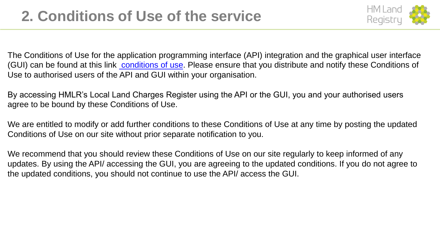

The Conditions of Use for the application programming interface (API) integration and the graphical user interface (GUI) can be found at this link [conditions of use.](https://maintain-llc.landregistry.gov.uk/conditions-of-use) Please ensure that you distribute and notify these Conditions of Use to authorised users of the API and GUI within your organisation.

By accessing HMLR's Local Land Charges Register using the API or the GUI, you and your authorised users agree to be bound by these Conditions of Use.

We are entitled to modify or add further conditions to these Conditions of Use at any time by posting the updated Conditions of Use on our site without prior separate notification to you.

We recommend that you should review these Conditions of Use on our site regularly to keep informed of any updates. By using the API/ accessing the GUI, you are agreeing to the updated conditions. If you do not agree to the updated conditions, you should not continue to use the API/ access the GUI.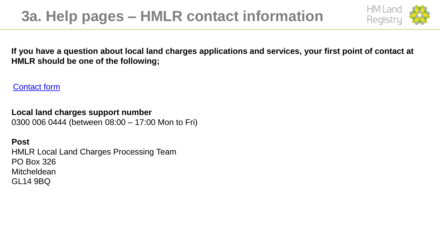## **3a. Help pages – HMLR contact information**



**If you have a question about local land charges applications and services, your first point of contact at HMLR should be one of the following;**

[Contact form](https://help.landregistry.gov.uk/app/contactus_LLC)

**Local land charges support number** 0300 006 0444 (between 08:00 – 17:00 Mon to Fri)

**Post** HMLR Local Land Charges Processing Team PO Box 326 **Mitcheldean** GL14 9BQ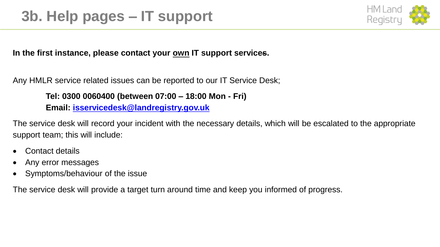

#### In the first instance, please contact your <u>own</u> IT support services.

Any HMLR service related issues can be reported to our IT Service Desk;

#### **Tel: 0300 0060400 (between 07:00 – 18:00 Mon - Fri)**

**Email: [isservicedesk@landregistry.gov.uk](mailto:isservicedesk@landregistry.gov.uk)**

The service desk will record your incident with the necessary details, which will be escalated to the appropriate support team; this will include:

- Contact details
- Any error messages
- Symptoms/behaviour of the issue

The service desk will provide a target turn around time and keep you informed of progress.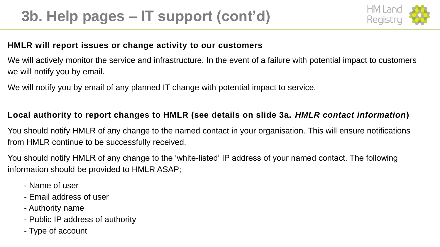

#### **HMLR will report issues or change activity to our customers**

We will actively monitor the service and infrastructure. In the event of a failure with potential impact to customers we will notify you by email.

We will notify you by email of any planned IT change with potential impact to service.

### **Local authority to report changes to HMLR (see details on slide 3a.** *HMLR contact information***)**

You should notify HMLR of any change to the named contact in your organisation. This will ensure notifications from HMLR continue to be successfully received.

You should notify HMLR of any change to the 'white-listed' IP address of your named contact. The following information should be provided to HMLR ASAP;

- Name of user
- Email address of user
- Authority name
- Public IP address of authority
- Type of account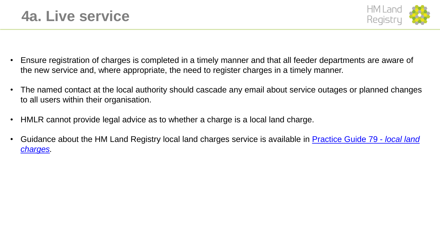

- Ensure registration of charges is completed in a timely manner and that all feeder departments are aware of the new service and, where appropriate, the need to register charges in a timely manner.
- The named contact at the local authority should cascade any email about service outages or planned changes to all users within their organisation.
- HMLR cannot provide legal advice as to whether a charge is a local land charge.
- [Guidance about the HM Land Registry local land charges service is available in Practice Guide 79 -](https://www.gov.uk/government/publications/local-land-charges-pg79) *local land charges.*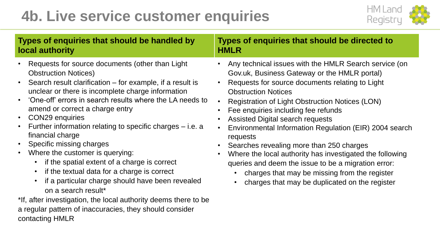## **4b. Live service customer enquiries**



| Types of enquiries that should be handled by                                                                                                                                                                                                                                                                                                                                                                                                                                                                                                                                                                                                                                                                                                                                                                                                                                                                 | Types of enquiries that should be directed to                                                                                                                                                                                                                                                                                                                                                                                                                                                                                                                                                                                                                       |
|--------------------------------------------------------------------------------------------------------------------------------------------------------------------------------------------------------------------------------------------------------------------------------------------------------------------------------------------------------------------------------------------------------------------------------------------------------------------------------------------------------------------------------------------------------------------------------------------------------------------------------------------------------------------------------------------------------------------------------------------------------------------------------------------------------------------------------------------------------------------------------------------------------------|---------------------------------------------------------------------------------------------------------------------------------------------------------------------------------------------------------------------------------------------------------------------------------------------------------------------------------------------------------------------------------------------------------------------------------------------------------------------------------------------------------------------------------------------------------------------------------------------------------------------------------------------------------------------|
| local authority                                                                                                                                                                                                                                                                                                                                                                                                                                                                                                                                                                                                                                                                                                                                                                                                                                                                                              | <b>HMLR</b>                                                                                                                                                                                                                                                                                                                                                                                                                                                                                                                                                                                                                                                         |
| Requests for source documents (other than Light<br>$\bullet$<br><b>Obstruction Notices)</b><br>Search result clarification – for example, if a result is<br>$\bullet$<br>unclear or there is incomplete charge information<br>'One-off' errors in search results where the LA needs to<br>$\bullet$<br>amend or correct a charge entry<br><b>CON29</b> enquiries<br>$\bullet$<br>Further information relating to specific charges – i.e. a<br>$\bullet$<br>financial charge<br>Specific missing charges<br>$\bullet$<br>Where the customer is querying:<br>$\bullet$<br>if the spatial extent of a charge is correct<br>if the textual data for a charge is correct<br>$\bullet$<br>if a particular charge should have been revealed<br>on a search result*<br>*If, after investigation, the local authority deems there to be<br>a regular pattern of inaccuracies, they should consider<br>contacting HMLR | Any technical issues with the HMLR Search service (on<br>Gov.uk, Business Gateway or the HMLR portal)<br>Requests for source documents relating to Light<br><b>Obstruction Notices</b><br>Registration of Light Obstruction Notices (LON)<br>Fee enquiries including fee refunds<br><b>Assisted Digital search requests</b><br>Environmental Information Regulation (EIR) 2004 search<br>requests<br>Searches revealing more than 250 charges<br>Where the local authority has investigated the following<br>queries and deem the issue to be a migration error:<br>charges that may be missing from the register<br>charges that may be duplicated on the register |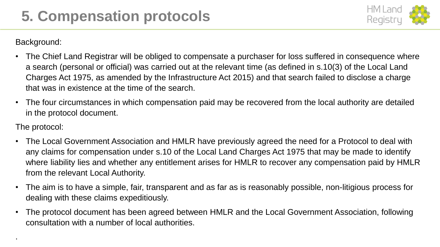

Background:

- The Chief Land Registrar will be obliged to compensate a purchaser for loss suffered in consequence where a search (personal or official) was carried out at the relevant time (as defined in s.10(3) of the Local Land Charges Act 1975, as amended by the Infrastructure Act 2015) and that search failed to disclose a charge that was in existence at the time of the search.
- The four circumstances in which compensation paid may be recovered from the local authority are detailed in the protocol document.

#### The protocol:

.

- The Local Government Association and HMLR have previously agreed the need for a Protocol to deal with any claims for compensation under s.10 of the Local Land Charges Act 1975 that may be made to identify where liability lies and whether any entitlement arises for HMLR to recover any compensation paid by HMLR from the relevant Local Authority.
- The aim is to have a simple, fair, transparent and as far as is reasonably possible, non-litigious process for dealing with these claims expeditiously.
- The protocol document has been agreed between HMLR and the Local Government Association, following consultation with a number of local authorities.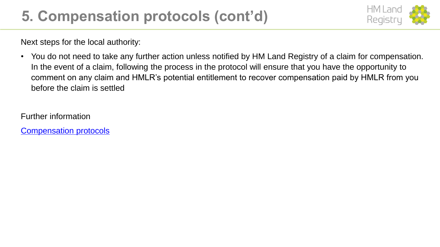## **5. Compensation protocols (cont'd)**



Next steps for the local authority:

• You do not need to take any further action unless notified by HM Land Registry of a claim for compensation. In the event of a claim, following the process in the protocol will ensure that you have the opportunity to comment on any claim and HMLR's potential entitlement to recover compensation paid by HMLR from you before the claim is settled

Further information

[Compensation protocols](https://www.gov.uk/government/publications/hm-land-registry-local-land-charges-compensation-protocols/local-land-charges-compensation-protocol)